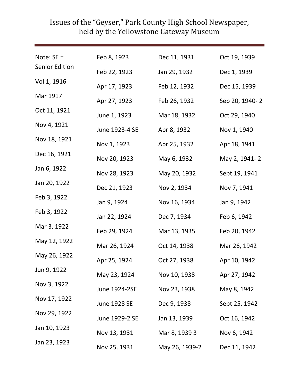| Note: $SE =$          | Feb 8, 1923    | Dec 11, 1931   | Oct 19, 1939   |
|-----------------------|----------------|----------------|----------------|
| <b>Senior Edition</b> | Feb 22, 1923   | Jan 29, 1932   | Dec 1, 1939    |
| Vol 1, 1916           | Apr 17, 1923   | Feb 12, 1932   | Dec 15, 1939   |
| Mar 1917              | Apr 27, 1923   | Feb 26, 1932   | Sep 20, 1940-2 |
| Oct 11, 1921          | June 1, 1923   | Mar 18, 1932   | Oct 29, 1940   |
| Nov 4, 1921           | June 1923-4 SE | Apr 8, 1932    | Nov 1, 1940    |
| Nov 18, 1921          | Nov 1, 1923    | Apr 25, 1932   | Apr 18, 1941   |
| Dec 16, 1921          | Nov 20, 1923   | May 6, 1932    | May 2, 1941-2  |
| Jan 6, 1922           | Nov 28, 1923   | May 20, 1932   | Sept 19, 1941  |
| Jan 20, 1922          | Dec 21, 1923   | Nov 2, 1934    | Nov 7, 1941    |
| Feb 3, 1922           | Jan 9, 1924    | Nov 16, 1934   | Jan 9, 1942    |
| Feb 3, 1922           | Jan 22, 1924   | Dec 7, 1934    | Feb 6, 1942    |
| Mar 3, 1922           | Feb 29, 1924   | Mar 13, 1935   | Feb 20, 1942   |
| May 12, 1922          | Mar 26, 1924   | Oct 14, 1938   | Mar 26, 1942   |
| May 26, 1922          | Apr 25, 1924   | Oct 27, 1938   | Apr 10, 1942   |
| Jun 9, 1922           | May 23, 1924   | Nov 10, 1938   | Apr 27, 1942   |
| Nov 3, 1922           | June 1924-2SE  | Nov 23, 1938   | May 8, 1942    |
| Nov 17, 1922          | June 1928 SE   | Dec 9, 1938    | Sept 25, 1942  |
| Nov 29, 1922          | June 1929-2 SE | Jan 13, 1939   | Oct 16, 1942   |
| Jan 10, 1923          | Nov 13, 1931   | Mar 8, 1939 3  | Nov 6, 1942    |
| Jan 23, 1923          | Nov 25, 1931   | May 26, 1939-2 | Dec 11, 1942   |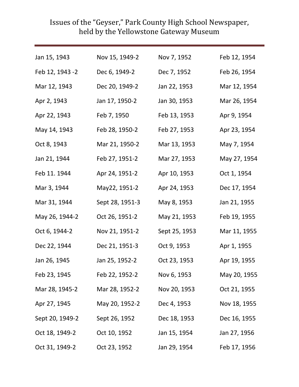| Jan 15, 1943    | Nov 15, 1949-2  | Nov 7, 1952   | Feb 12, 1954 |
|-----------------|-----------------|---------------|--------------|
| Feb 12, 1943 -2 | Dec 6, 1949-2   | Dec 7, 1952   | Feb 26, 1954 |
| Mar 12, 1943    | Dec 20, 1949-2  | Jan 22, 1953  | Mar 12, 1954 |
| Apr 2, 1943     | Jan 17, 1950-2  | Jan 30, 1953  | Mar 26, 1954 |
| Apr 22, 1943    | Feb 7, 1950     | Feb 13, 1953  | Apr 9, 1954  |
| May 14, 1943    | Feb 28, 1950-2  | Feb 27, 1953  | Apr 23, 1954 |
| Oct 8, 1943     | Mar 21, 1950-2  | Mar 13, 1953  | May 7, 1954  |
| Jan 21, 1944    | Feb 27, 1951-2  | Mar 27, 1953  | May 27, 1954 |
| Feb 11. 1944    | Apr 24, 1951-2  | Apr 10, 1953  | Oct 1, 1954  |
| Mar 3, 1944     | May22, 1951-2   | Apr 24, 1953  | Dec 17, 1954 |
| Mar 31, 1944    | Sept 28, 1951-3 | May 8, 1953   | Jan 21, 1955 |
| May 26, 1944-2  | Oct 26, 1951-2  | May 21, 1953  | Feb 19, 1955 |
| Oct 6, 1944-2   | Nov 21, 1951-2  | Sept 25, 1953 | Mar 11, 1955 |
| Dec 22, 1944    | Dec 21, 1951-3  | Oct 9, 1953   | Apr 1, 1955  |
| Jan 26, 1945    | Jan 25, 1952-2  | Oct 23, 1953  | Apr 19, 1955 |
| Feb 23, 1945    | Feb 22, 1952-2  | Nov 6, 1953   | May 20, 1955 |
| Mar 28, 1945-2  | Mar 28, 1952-2  | Nov 20, 1953  | Oct 21, 1955 |
| Apr 27, 1945    | May 20, 1952-2  | Dec 4, 1953   | Nov 18, 1955 |
| Sept 20, 1949-2 | Sept 26, 1952   | Dec 18, 1953  | Dec 16, 1955 |
| Oct 18, 1949-2  | Oct 10, 1952    | Jan 15, 1954  | Jan 27, 1956 |
| Oct 31, 1949-2  | Oct 23, 1952    | Jan 29, 1954  | Feb 17, 1956 |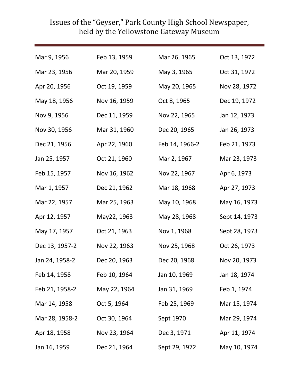| Mar 9, 1956    | Feb 13, 1959 | Mar 26, 1965   | Oct 13, 1972  |
|----------------|--------------|----------------|---------------|
| Mar 23, 1956   | Mar 20, 1959 | May 3, 1965    | Oct 31, 1972  |
| Apr 20, 1956   | Oct 19, 1959 | May 20, 1965   | Nov 28, 1972  |
| May 18, 1956   | Nov 16, 1959 | Oct 8, 1965    | Dec 19, 1972  |
| Nov 9, 1956    | Dec 11, 1959 | Nov 22, 1965   | Jan 12, 1973  |
| Nov 30, 1956   | Mar 31, 1960 | Dec 20, 1965   | Jan 26, 1973  |
| Dec 21, 1956   | Apr 22, 1960 | Feb 14, 1966-2 | Feb 21, 1973  |
| Jan 25, 1957   | Oct 21, 1960 | Mar 2, 1967    | Mar 23, 1973  |
| Feb 15, 1957   | Nov 16, 1962 | Nov 22, 1967   | Apr 6, 1973   |
| Mar 1, 1957    | Dec 21, 1962 | Mar 18, 1968   | Apr 27, 1973  |
| Mar 22, 1957   | Mar 25, 1963 | May 10, 1968   | May 16, 1973  |
| Apr 12, 1957   | May22, 1963  | May 28, 1968   | Sept 14, 1973 |
| May 17, 1957   | Oct 21, 1963 | Nov 1, 1968    | Sept 28, 1973 |
| Dec 13, 1957-2 | Nov 22, 1963 | Nov 25, 1968   | Oct 26, 1973  |
| Jan 24, 1958-2 | Dec 20, 1963 | Dec 20, 1968   | Nov 20, 1973  |
| Feb 14, 1958   | Feb 10, 1964 | Jan 10, 1969   | Jan 18, 1974  |
| Feb 21, 1958-2 | May 22, 1964 | Jan 31, 1969   | Feb 1, 1974   |
| Mar 14, 1958   | Oct 5, 1964  | Feb 25, 1969   | Mar 15, 1974  |
| Mar 28, 1958-2 | Oct 30, 1964 | Sept 1970      | Mar 29, 1974  |
| Apr 18, 1958   | Nov 23, 1964 | Dec 3, 1971    | Apr 11, 1974  |
| Jan 16, 1959   | Dec 21, 1964 | Sept 29, 1972  | May 10, 1974  |